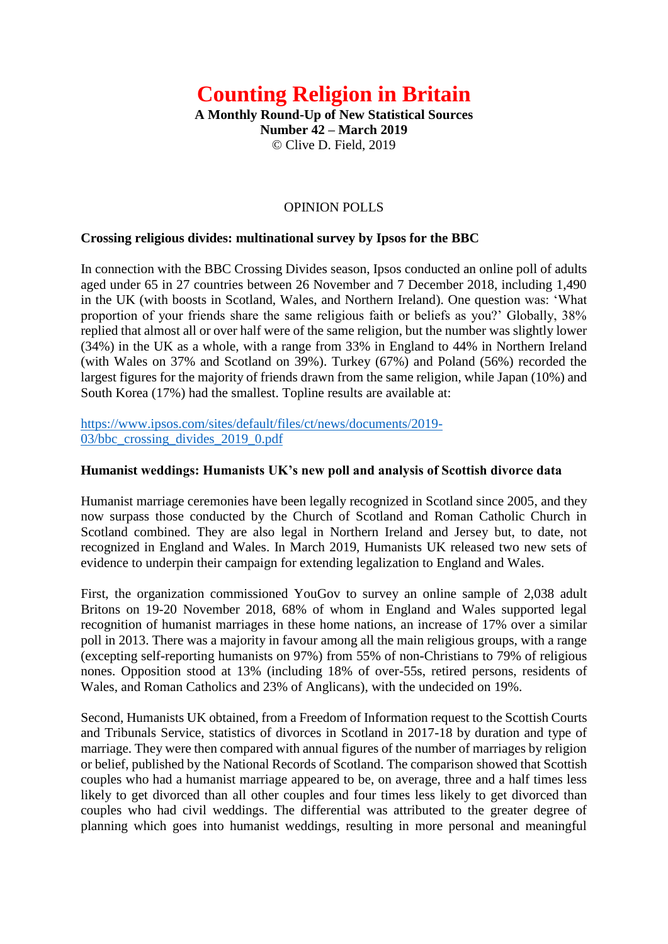# **Counting Religion in Britain**

**A Monthly Round-Up of New Statistical Sources Number 42 – March 2019** © Clive D. Field, 2019

# OPINION POLLS

## **Crossing religious divides: multinational survey by Ipsos for the BBC**

In connection with the BBC Crossing Divides season, Ipsos conducted an online poll of adults aged under 65 in 27 countries between 26 November and 7 December 2018, including 1,490 in the UK (with boosts in Scotland, Wales, and Northern Ireland). One question was: 'What proportion of your friends share the same religious faith or beliefs as you?' Globally, 38% replied that almost all or over half were of the same religion, but the number was slightly lower (34%) in the UK as a whole, with a range from 33% in England to 44% in Northern Ireland (with Wales on 37% and Scotland on 39%). Turkey (67%) and Poland (56%) recorded the largest figures for the majority of friends drawn from the same religion, while Japan (10%) and South Korea (17%) had the smallest. Topline results are available at:

[https://www.ipsos.com/sites/default/files/ct/news/documents/2019-](https://www.ipsos.com/sites/default/files/ct/news/documents/2019-03/bbc_crossing_divides_2019_0.pdf) [03/bbc\\_crossing\\_divides\\_2019\\_0.pdf](https://www.ipsos.com/sites/default/files/ct/news/documents/2019-03/bbc_crossing_divides_2019_0.pdf)

#### **Humanist weddings: Humanists UK's new poll and analysis of Scottish divorce data**

Humanist marriage ceremonies have been legally recognized in Scotland since 2005, and they now surpass those conducted by the Church of Scotland and Roman Catholic Church in Scotland combined. They are also legal in Northern Ireland and Jersey but, to date, not recognized in England and Wales. In March 2019, Humanists UK released two new sets of evidence to underpin their campaign for extending legalization to England and Wales.

First, the organization commissioned YouGov to survey an online sample of 2,038 adult Britons on 19-20 November 2018, 68% of whom in England and Wales supported legal recognition of humanist marriages in these home nations, an increase of 17% over a similar poll in 2013. There was a majority in favour among all the main religious groups, with a range (excepting self-reporting humanists on 97%) from 55% of non-Christians to 79% of religious nones. Opposition stood at 13% (including 18% of over-55s, retired persons, residents of Wales, and Roman Catholics and 23% of Anglicans), with the undecided on 19%.

Second, Humanists UK obtained, from a Freedom of Information request to the Scottish Courts and Tribunals Service, statistics of divorces in Scotland in 2017-18 by duration and type of marriage. They were then compared with annual figures of the number of marriages by religion or belief, published by the National Records of Scotland. The comparison showed that Scottish couples who had a humanist marriage appeared to be, on average, three and a half times less likely to get divorced than all other couples and four times less likely to get divorced than couples who had civil weddings. The differential was attributed to the greater degree of planning which goes into humanist weddings, resulting in more personal and meaningful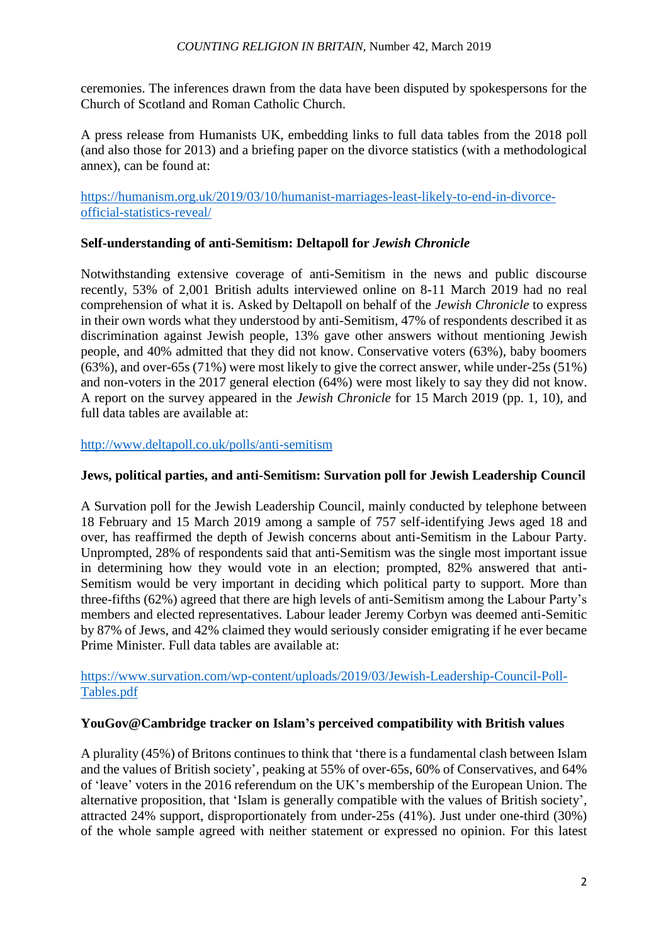ceremonies. The inferences drawn from the data have been disputed by spokespersons for the Church of Scotland and Roman Catholic Church.

A press release from Humanists UK, embedding links to full data tables from the 2018 poll (and also those for 2013) and a briefing paper on the divorce statistics (with a methodological annex), can be found at:

[https://humanism.org.uk/2019/03/10/humanist-marriages-least-likely-to-end-in-divorce](https://humanism.org.uk/2019/03/10/humanist-marriages-least-likely-to-end-in-divorce-official-statistics-reveal/)[official-statistics-reveal/](https://humanism.org.uk/2019/03/10/humanist-marriages-least-likely-to-end-in-divorce-official-statistics-reveal/)

# **Self-understanding of anti-Semitism: Deltapoll for** *Jewish Chronicle*

Notwithstanding extensive coverage of anti-Semitism in the news and public discourse recently, 53% of 2,001 British adults interviewed online on 8-11 March 2019 had no real comprehension of what it is. Asked by Deltapoll on behalf of the *Jewish Chronicle* to express in their own words what they understood by anti-Semitism, 47% of respondents described it as discrimination against Jewish people, 13% gave other answers without mentioning Jewish people, and 40% admitted that they did not know. Conservative voters (63%), baby boomers (63%), and over-65s (71%) were most likely to give the correct answer, while under-25s (51%) and non-voters in the 2017 general election (64%) were most likely to say they did not know. A report on the survey appeared in the *Jewish Chronicle* for 15 March 2019 (pp. 1, 10), and full data tables are available at:

# <http://www.deltapoll.co.uk/polls/anti-semitism>

# **Jews, political parties, and anti-Semitism: Survation poll for Jewish Leadership Council**

A Survation poll for the Jewish Leadership Council, mainly conducted by telephone between 18 February and 15 March 2019 among a sample of 757 self-identifying Jews aged 18 and over, has reaffirmed the depth of Jewish concerns about anti-Semitism in the Labour Party. Unprompted, 28% of respondents said that anti-Semitism was the single most important issue in determining how they would vote in an election; prompted, 82% answered that anti-Semitism would be very important in deciding which political party to support. More than three-fifths (62%) agreed that there are high levels of anti-Semitism among the Labour Party's members and elected representatives. Labour leader Jeremy Corbyn was deemed anti-Semitic by 87% of Jews, and 42% claimed they would seriously consider emigrating if he ever became Prime Minister. Full data tables are available at:

[https://www.survation.com/wp-content/uploads/2019/03/Jewish-Leadership-Council-Poll-](https://www.survation.com/wp-content/uploads/2019/03/Jewish-Leadership-Council-Poll-Tables.pdf)[Tables.pdf](https://www.survation.com/wp-content/uploads/2019/03/Jewish-Leadership-Council-Poll-Tables.pdf)

# **YouGov@Cambridge tracker on Islam's perceived compatibility with British values**

A plurality (45%) of Britons continues to think that 'there is a fundamental clash between Islam and the values of British society', peaking at 55% of over-65s, 60% of Conservatives, and 64% of 'leave' voters in the 2016 referendum on the UK's membership of the European Union. The alternative proposition, that 'Islam is generally compatible with the values of British society', attracted 24% support, disproportionately from under-25s (41%). Just under one-third (30%) of the whole sample agreed with neither statement or expressed no opinion. For this latest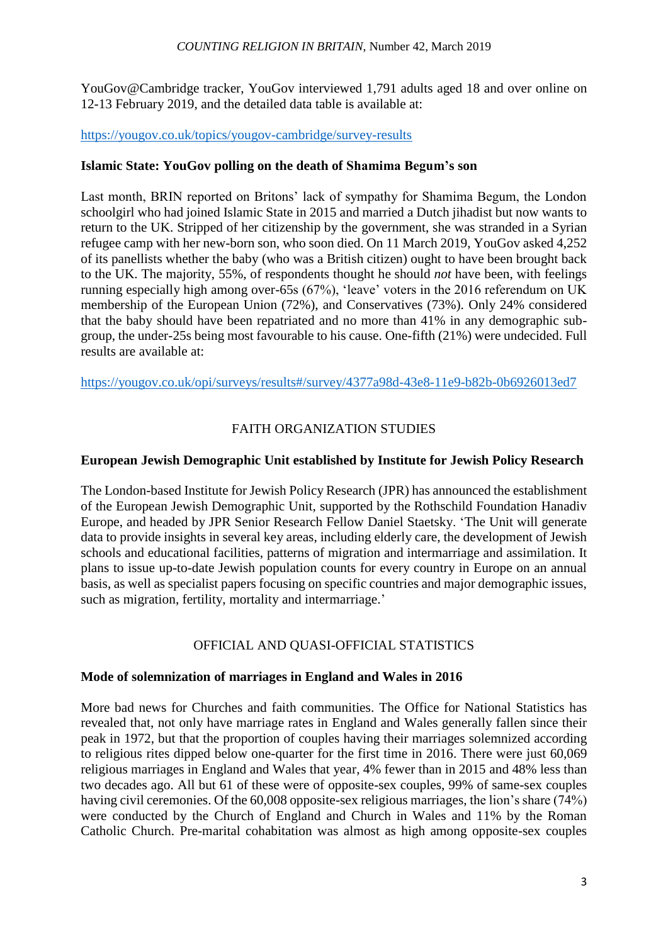#### *COUNTING RELIGION IN BRITAIN*, Number 42, March 2019

YouGov@Cambridge tracker, YouGov interviewed 1,791 adults aged 18 and over online on 12-13 February 2019, and the detailed data table is available at:

## <https://yougov.co.uk/topics/yougov-cambridge/survey-results>

## **Islamic State: YouGov polling on the death of Shamima Begum's son**

Last month, BRIN reported on Britons' lack of sympathy for Shamima Begum, the London schoolgirl who had joined Islamic State in 2015 and married a Dutch jihadist but now wants to return to the UK. Stripped of her citizenship by the government, she was stranded in a Syrian refugee camp with her new-born son, who soon died. On 11 March 2019, YouGov asked 4,252 of its panellists whether the baby (who was a British citizen) ought to have been brought back to the UK. The majority, 55%, of respondents thought he should *not* have been, with feelings running especially high among over-65s (67%), 'leave' voters in the 2016 referendum on UK membership of the European Union (72%), and Conservatives (73%). Only 24% considered that the baby should have been repatriated and no more than 41% in any demographic subgroup, the under-25s being most favourable to his cause. One-fifth (21%) were undecided. Full results are available at:

<https://yougov.co.uk/opi/surveys/results#/survey/4377a98d-43e8-11e9-b82b-0b6926013ed7>

# FAITH ORGANIZATION STUDIES

## **European Jewish Demographic Unit established by Institute for Jewish Policy Research**

The London-based Institute for Jewish Policy Research (JPR) has announced the establishment of the European Jewish Demographic Unit, supported by the Rothschild Foundation Hanadiv Europe, and headed by JPR Senior Research Fellow Daniel Staetsky. 'The Unit will generate data to provide insights in several key areas, including elderly care, the development of Jewish schools and educational facilities, patterns of migration and intermarriage and assimilation. It plans to issue up-to-date Jewish population counts for every country in Europe on an annual basis, as well as specialist papers focusing on specific countries and major demographic issues, such as migration, fertility, mortality and intermarriage.'

# OFFICIAL AND QUASI-OFFICIAL STATISTICS

## **Mode of solemnization of marriages in England and Wales in 2016**

More bad news for Churches and faith communities. The Office for National Statistics has revealed that, not only have marriage rates in England and Wales generally fallen since their peak in 1972, but that the proportion of couples having their marriages solemnized according to religious rites dipped below one-quarter for the first time in 2016. There were just 60,069 religious marriages in England and Wales that year, 4% fewer than in 2015 and 48% less than two decades ago. All but 61 of these were of opposite-sex couples, 99% of same-sex couples having civil ceremonies. Of the 60,008 opposite-sex religious marriages, the lion's share (74%) were conducted by the Church of England and Church in Wales and 11% by the Roman Catholic Church. Pre-marital cohabitation was almost as high among opposite-sex couples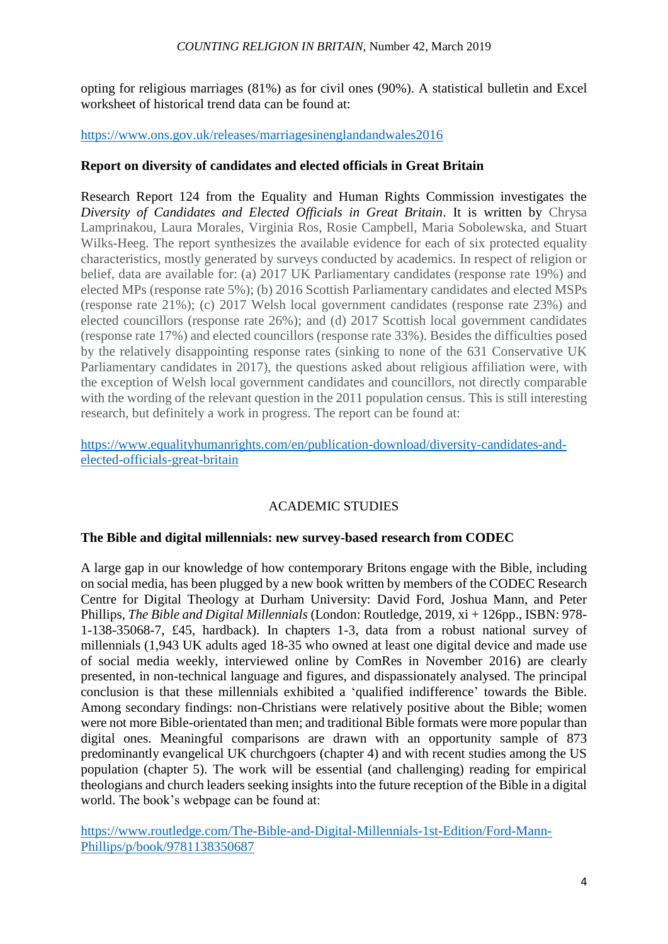#### *COUNTING RELIGION IN BRITAIN*, Number 42, March 2019

opting for religious marriages (81%) as for civil ones (90%). A statistical bulletin and Excel worksheet of historical trend data can be found at:

## <https://www.ons.gov.uk/releases/marriagesinenglandandwales2016>

# **Report on diversity of candidates and elected officials in Great Britain**

Research Report 124 from the Equality and Human Rights Commission investigates the *Diversity of Candidates and Elected Officials in Great Britain*. It is written by Chrysa Lamprinakou, Laura Morales, Virginia Ros, Rosie Campbell, Maria Sobolewska, and Stuart Wilks-Heeg. The report synthesizes the available evidence for each of six protected equality characteristics, mostly generated by surveys conducted by academics. In respect of religion or belief, data are available for: (a) 2017 UK Parliamentary candidates (response rate 19%) and elected MPs (response rate 5%); (b) 2016 Scottish Parliamentary candidates and elected MSPs (response rate 21%); (c) 2017 Welsh local government candidates (response rate 23%) and elected councillors (response rate 26%); and (d) 2017 Scottish local government candidates (response rate 17%) and elected councillors (response rate 33%). Besides the difficulties posed by the relatively disappointing response rates (sinking to none of the 631 Conservative UK Parliamentary candidates in 2017), the questions asked about religious affiliation were, with the exception of Welsh local government candidates and councillors, not directly comparable with the wording of the relevant question in the 2011 population census. This is still interesting research, but definitely a work in progress. The report can be found at:

[https://www.equalityhumanrights.com/en/publication-download/diversity-candidates-and](https://www.equalityhumanrights.com/en/publication-download/diversity-candidates-and-elected-officials-great-britain)[elected-officials-great-britain](https://www.equalityhumanrights.com/en/publication-download/diversity-candidates-and-elected-officials-great-britain)

# ACADEMIC STUDIES

## **The Bible and digital millennials: new survey-based research from CODEC**

A large gap in our knowledge of how contemporary Britons engage with the Bible, including on social media, has been plugged by a new book written by members of the CODEC Research Centre for Digital Theology at Durham University: David Ford, Joshua Mann, and Peter Phillips, *The Bible and Digital Millennials* (London: Routledge, 2019, xi + 126pp., ISBN: 978- 1-138-35068-7, £45, hardback). In chapters 1-3, data from a robust national survey of millennials (1,943 UK adults aged 18-35 who owned at least one digital device and made use of social media weekly, interviewed online by ComRes in November 2016) are clearly presented, in non-technical language and figures, and dispassionately analysed. The principal conclusion is that these millennials exhibited a 'qualified indifference' towards the Bible. Among secondary findings: non-Christians were relatively positive about the Bible; women were not more Bible-orientated than men; and traditional Bible formats were more popular than digital ones. Meaningful comparisons are drawn with an opportunity sample of 873 predominantly evangelical UK churchgoers (chapter 4) and with recent studies among the US population (chapter 5). The work will be essential (and challenging) reading for empirical theologians and church leaders seeking insights into the future reception of the Bible in a digital world. The book's webpage can be found at:

[https://www.routledge.com/The-Bible-and-Digital-Millennials-1st-Edition/Ford-Mann-](https://www.routledge.com/The-Bible-and-Digital-Millennials-1st-Edition/Ford-Mann-Phillips/p/book/9781138350687)[Phillips/p/book/9781138350687](https://www.routledge.com/The-Bible-and-Digital-Millennials-1st-Edition/Ford-Mann-Phillips/p/book/9781138350687)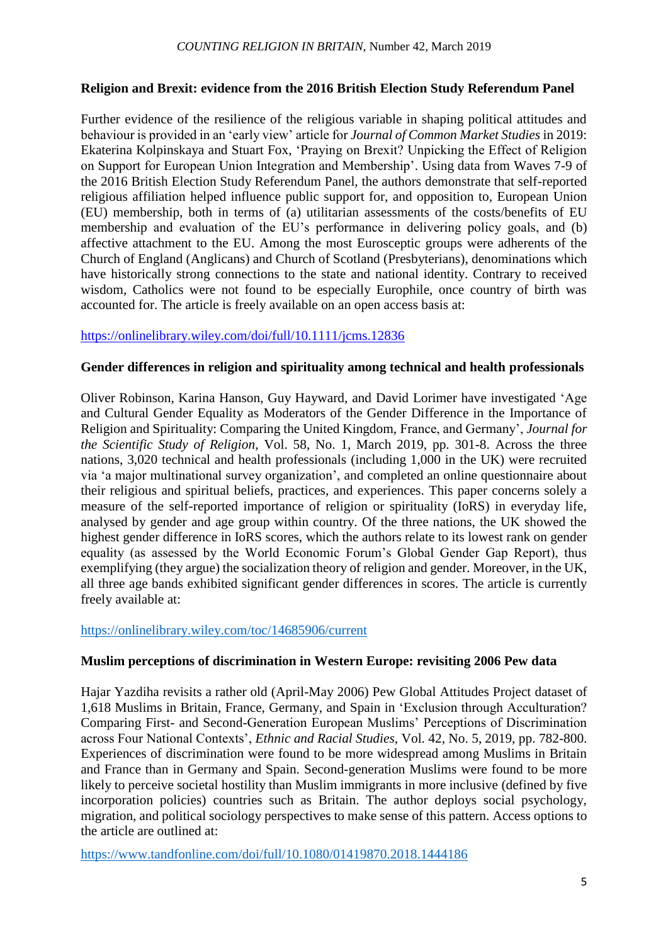# **Religion and Brexit: evidence from the 2016 British Election Study Referendum Panel**

Further evidence of the resilience of the religious variable in shaping political attitudes and behaviour is provided in an 'early view' article for *Journal of Common Market Studies* in 2019: Ekaterina Kolpinskaya and Stuart Fox, 'Praying on Brexit? Unpicking the Effect of Religion on Support for European Union Integration and Membership'. Using data from Waves 7-9 of the 2016 British Election Study Referendum Panel, the authors demonstrate that self-reported religious affiliation helped influence public support for, and opposition to, European Union (EU) membership, both in terms of (a) utilitarian assessments of the costs/benefits of EU membership and evaluation of the EU's performance in delivering policy goals, and (b) affective attachment to the EU. Among the most Eurosceptic groups were adherents of the Church of England (Anglicans) and Church of Scotland (Presbyterians), denominations which have historically strong connections to the state and national identity. Contrary to received wisdom, Catholics were not found to be especially Europhile, once country of birth was accounted for. The article is freely available on an open access basis at:

# [https://onlinelibrary.wiley.com/doi/full/10.1111/jcms.12836](https://mail.bham.ac.uk/owa/redir.aspx?C=9Hq6mFcDZk8OlMDSa6EjOsKnpohW1O96dSEed20psmSpkDHMnqjWCA..&URL=https%3a%2f%2fonlinelibrary.wiley.com%2fdoi%2ffull%2f10.1111%2fjcms.12836)

# **Gender differences in religion and spirituality among technical and health professionals**

Oliver Robinson, Karina Hanson, Guy Hayward, and David Lorimer have investigated 'Age and Cultural Gender Equality as Moderators of the Gender Difference in the Importance of Religion and Spirituality: Comparing the United Kingdom, France, and Germany', *Journal for the Scientific Study of Religion*, Vol. 58, No. 1, March 2019, pp. 301-8. Across the three nations, 3,020 technical and health professionals (including 1,000 in the UK) were recruited via 'a major multinational survey organization', and completed an online questionnaire about their religious and spiritual beliefs, practices, and experiences. This paper concerns solely a measure of the self-reported importance of religion or spirituality (IoRS) in everyday life, analysed by gender and age group within country. Of the three nations, the UK showed the highest gender difference in IoRS scores, which the authors relate to its lowest rank on gender equality (as assessed by the World Economic Forum's Global Gender Gap Report), thus exemplifying (they argue) the socialization theory of religion and gender. Moreover, in the UK, all three age bands exhibited significant gender differences in scores. The article is currently freely available at:

## <https://onlinelibrary.wiley.com/toc/14685906/current>

## **Muslim perceptions of discrimination in Western Europe: revisiting 2006 Pew data**

Hajar Yazdiha revisits a rather old (April-May 2006) Pew Global Attitudes Project dataset of 1,618 Muslims in Britain, France, Germany, and Spain in 'Exclusion through Acculturation? Comparing First- and Second-Generation European Muslims' Perceptions of Discrimination across Four National Contexts', *Ethnic and Racial Studies*, Vol. 42, No. 5, 2019, pp. 782-800. Experiences of discrimination were found to be more widespread among Muslims in Britain and France than in Germany and Spain. Second-generation Muslims were found to be more likely to perceive societal hostility than Muslim immigrants in more inclusive (defined by five incorporation policies) countries such as Britain. The author deploys social psychology, migration, and political sociology perspectives to make sense of this pattern. Access options to the article are outlined at:

<https://www.tandfonline.com/doi/full/10.1080/01419870.2018.1444186>